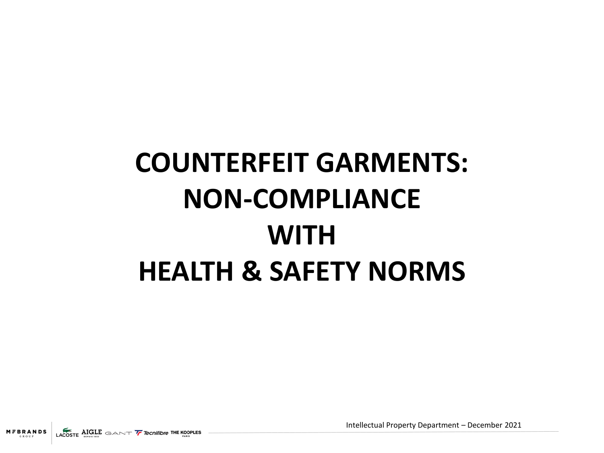# **COUNTERFEIT GARMENTS: NON-COMPLIANCE WITH HEALTH & SAFETY NORMS**

LACOSTE AIGLE GANT Trecnifibre THE KOOPLES **MFBRANDS**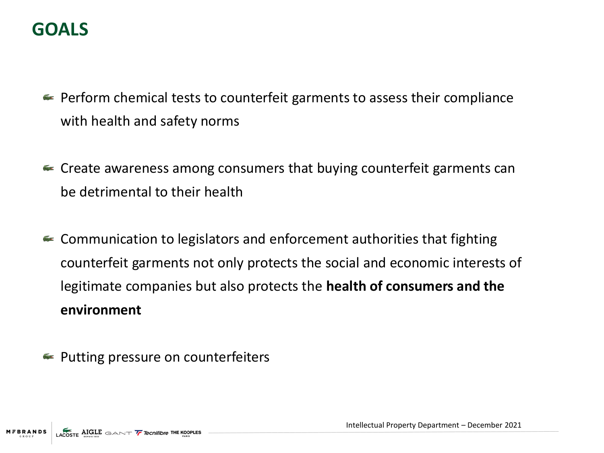#### **GOALS**

- Perform chemical tests to counterfeit garments to assess their compliance with health and safety norms
- Create awareness among consumers that buying counterfeit garments can be detrimental to their health
- $\blacktriangleright$  Communication to legislators and enforcement authorities that fighting counterfeit garments not only protects the social and economic interests of legitimate companies but also protects the **health of consumers and the environment**
- **► Putting pressure on counterfeiters**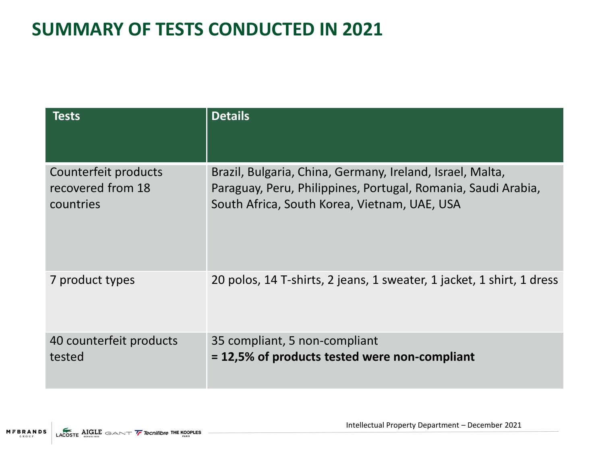### **SUMMARY OF TESTS CONDUCTED IN 2021**

| <b>Tests</b>            | <b>Details</b>                                                        |
|-------------------------|-----------------------------------------------------------------------|
| Counterfeit products    | Brazil, Bulgaria, China, Germany, Ireland, Israel, Malta,             |
| recovered from 18       | Paraguay, Peru, Philippines, Portugal, Romania, Saudi Arabia,         |
| countries               | South Africa, South Korea, Vietnam, UAE, USA                          |
| 7 product types         | 20 polos, 14 T-shirts, 2 jeans, 1 sweater, 1 jacket, 1 shirt, 1 dress |
| 40 counterfeit products | 35 compliant, 5 non-compliant                                         |
| tested                  | = 12,5% of products tested were non-compliant                         |

LACOSTE AIGLE  $\bigcirc$   $\wedge \wedge \top$   $\overline{\mathcal{F}}$  Tecnifibre THE KOOPLES MFBRANDS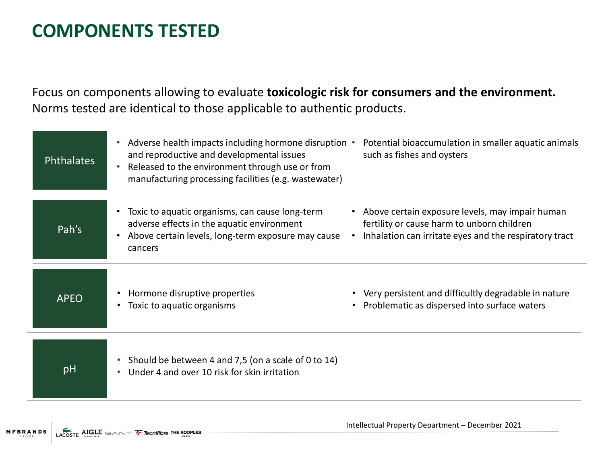#### **COMPONENTS TESTED**

Focus on components allowing to evaluate **toxicologic risk for consumers and the environment.** Norms tested are identical to those applicable to authentic products.

| <b>Phthalates</b> | Adverse health impacts including hormone disruption •<br>Potential bioaccumulation in smaller aquatic animals<br>and reproductive and developmental issues<br>such as fishes and oysters<br>Released to the environment through use or from<br>manufacturing processing facilities (e.g. wastewater)                                     |
|-------------------|------------------------------------------------------------------------------------------------------------------------------------------------------------------------------------------------------------------------------------------------------------------------------------------------------------------------------------------|
| Pah's             | • Above certain exposure levels, may impair human<br>Toxic to aquatic organisms, can cause long-term<br>$\bullet$<br>adverse effects in the aquatic environment<br>fertility or cause harm to unborn children<br>Above certain levels, long-term exposure may cause<br>Inhalation can irritate eyes and the respiratory tract<br>cancers |
| <b>APEO</b>       | • Very persistent and difficultly degradable in nature<br>Hormone disruptive properties<br>Problematic as dispersed into surface waters<br>Toxic to aquatic organisms                                                                                                                                                                    |
| pH                | Should be between 4 and 7,5 (on a scale of 0 to 14)<br>Under 4 and over 10 risk for skin irritation                                                                                                                                                                                                                                      |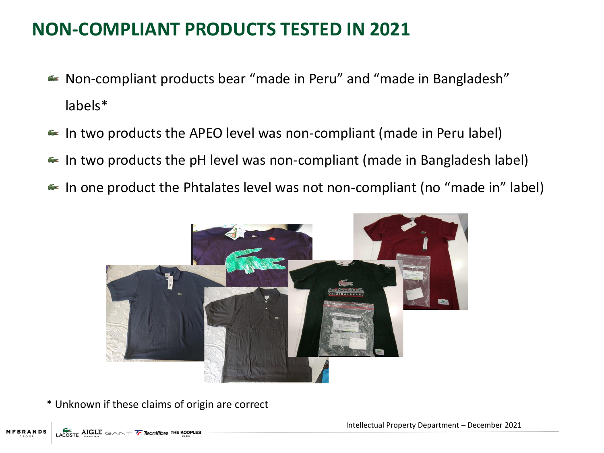#### **NON-COMPLIANT PRODUCTS TESTED IN 2021**

- Non-compliant products bear "made in Peru" and "made in Bangladesh" labels\*
- $\blacktriangleright$  In two products the APEO level was non-compliant (made in Peru label)
- $\blacktriangleright$  In two products the pH level was non-compliant (made in Bangladesh label)
- In one product the Phtalates level was not non-compliant (no "made in" label)



\* Unknown if these claims of origin are correct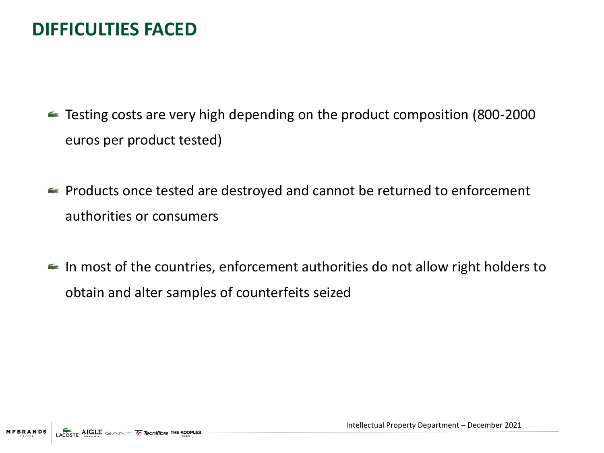#### **DIFFICULTIES FACED**

Testing costs are very high depending on the product composition (800-2000 euros per product tested)

- Products once tested are destroyed and cannot be returned to enforcement authorities or consumers
- In most of the countries, enforcement authorities do not allow right holders to obtain and alter samples of counterfeits seized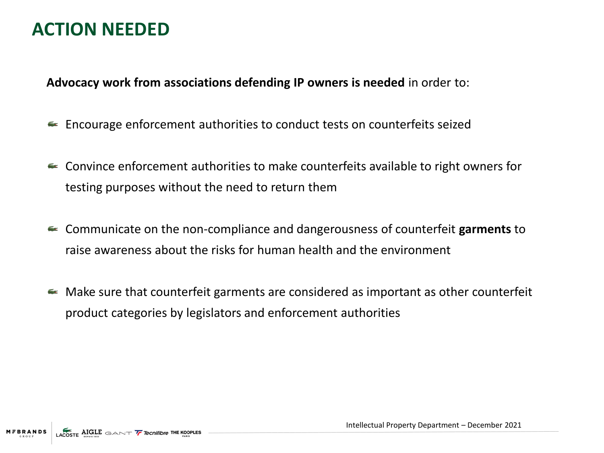#### **ACTION NEEDED**

**Advocacy work from associations defending IP owners is needed** in order to:

- Encourage enforcement authorities to conduct tests on counterfeits seized
- Convince enforcement authorities to make counterfeits available to right owners for testing purposes without the need to return them
- Communicate on the non-compliance and dangerousness of counterfeit **garments** to raise awareness about the risks for human health and the environment
- Make sure that counterfeit garments are considered as important as other counterfeit product categories by legislators and enforcement authorities